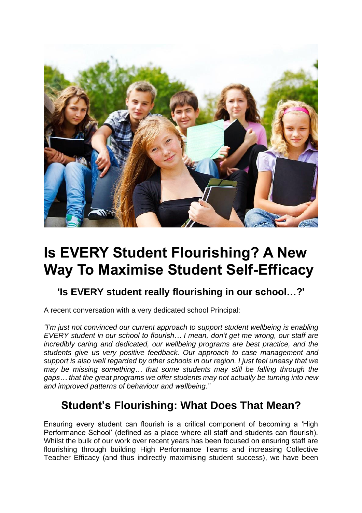

# **Is EVERY Student Flourishing? A New Way To Maximise Student Self-Efficacy**

### **'Is EVERY student really flourishing in our school…?'**

A recent conversation with a very dedicated school Principal:

*"I'm just not convinced our current approach to support student wellbeing is enabling EVERY student in our school to flourish… I mean, don't get me wrong, our staff are incredibly caring and dedicated, our wellbeing programs are best practice, and the students give us very positive feedback. Our approach to case management and support is also well regarded by other schools in our region. I just feel uneasy that we may be missing something… that some students may still be falling through the gaps… that the great programs we offer students may not actually be turning into new and improved patterns of behaviour and wellbeing."*

# **Student's Flourishing: What Does That Mean?**

Ensuring every student can flourish is a critical component of becoming a 'High Performance School' (defined as a place where all staff and students can flourish). Whilst the bulk of our work over recent years has been focused on ensuring staff are flourishing through building High Performance Teams and increasing Collective Teacher Efficacy (and thus indirectly maximising student success), we have been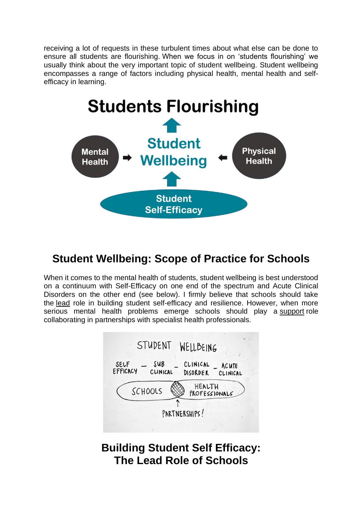receiving a lot of requests in these turbulent times about what else can be done to ensure all students are flourishing. When we focus in on 'students flourishing' we usually think about the very important topic of student wellbeing. Student wellbeing encompasses a range of factors including physical health, mental health and selfefficacy in learning.



# **Student Wellbeing: Scope of Practice for Schools**

When it comes to the mental health of students, student wellbeing is best understood on a continuum with Self-Efficacy on one end of the spectrum and Acute Clinical Disorders on the other end (see below). I firmly believe that schools should take the lead role in building student self-efficacy and resilience. However, when more serious mental health problems emerge schools should play a support role collaborating in partnerships with specialist health professionals.



## **Building Student Self Efficacy: The Lead Role of Schools**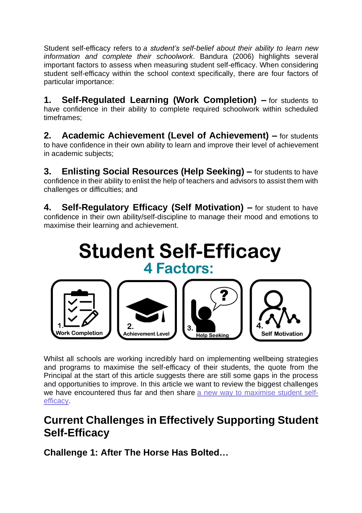Student self-efficacy refers to *a student's self-belief about their ability to learn new information and complete their schoolwork*. Bandura (2006) highlights several important factors to assess when measuring student self-efficacy. When considering student self-efficacy within the school context specifically, there are four factors of particular importance:

**1. Self-Regulated Learning (Work Completion) –** for students to have confidence in their ability to complete required schoolwork within scheduled timeframes;

**2. Academic Achievement (Level of Achievement) –** for students to have confidence in their own ability to learn and improve their level of achievement in academic subjects;

**3. Enlisting Social Resources (Help Seeking) –** for students to have confidence in their ability to enlist the help of teachers and advisors to assist them with challenges or difficulties; and

**4. Self-Regulatory Efficacy (Self Motivation) –** for student to have confidence in their own ability/self-discipline to manage their mood and emotions to maximise their learning and achievement.

# **Student Self-Efficacy 4 Factors:**



Whilst all schools are working incredibly hard on implementing wellbeing strategies and programs to maximise the self-efficacy of their students, the quote from the Principal at the start of this article suggests there are still some gaps in the process and opportunities to improve. In this article we want to review the biggest challenges we have encountered thus far and then share a new way to [maximise](https://www.hptschools.com/studentpulse) student self[efficacy.](https://www.hptschools.com/studentpulse)

# **Current Challenges in Effectively Supporting Student Self-Efficacy**

**Challenge 1: After The Horse Has Bolted…**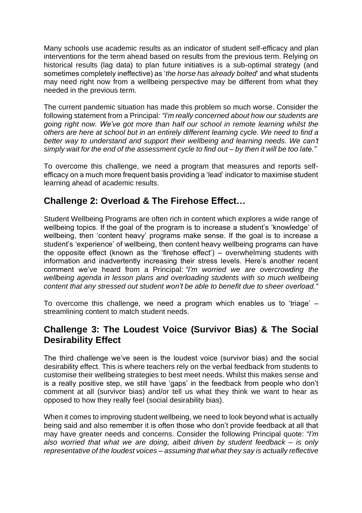Many schools use academic results as an indicator of student self-efficacy and plan interventions for the term ahead based on results from the previous term. Relying on historical results (lag data) to plan future initiatives is a sub-optimal strategy (and sometimes completely ineffective) as '*the horse has already bolted*' and what students may need right now from a wellbeing perspective may be different from what they needed in the previous term.

The current pandemic situation has made this problem so much worse. Consider the following statement from a Principal*: "I'm really concerned about how our students are going right now. We've got more than half our school in remote learning whilst the others are here at school but in an entirely different learning cycle. We need to find a better way to understand and support their wellbeing and learning needs. We can't* simply wait for the end of the assessment cycle to find out - by then it will be too late."

To overcome this challenge, we need a program that measures and reports selfefficacy on a much more frequent basis providing a 'lead' indicator to maximise student learning ahead of academic results.

#### **Challenge 2: Overload & The Firehose Effect…**

Student Wellbeing Programs are often rich in content which explores a wide range of wellbeing topics. If the goal of the program is to increase a student's 'knowledge' of wellbeing, then 'content heavy' programs make sense. If the goal is to increase a student's 'experience' of wellbeing, then content heavy wellbeing programs can have the opposite effect (known as the 'firehose effect') – overwhelming students with information and inadvertently increasing their stress levels. Here's another recent comment we've heard from a Principal: *"I'm worried we are overcrowding the wellbeing agenda in lesson plans and overloading students with so much wellbeing content that any stressed out student won't be able to benefit due to sheer overload."*

To overcome this challenge, we need a program which enables us to 'triage'  $$ streamlining content to match student needs.

#### **Challenge 3: The Loudest Voice (Survivor Bias) & The Social Desirability Effect**

The third challenge we've seen is the loudest voice (survivor bias) and the social desirability effect. This is where teachers rely on the verbal feedback from students to customise their wellbeing strategies to best meet needs. Whilst this makes sense and is a really positive step, we still have 'gaps' in the feedback from people who don't comment at all (survivor bias) and/or tell us what they think we want to hear as opposed to how they really feel (social desirability bias).

When it comes to improving student wellbeing, we need to look beyond what is actually being said and also remember it is often those who don't provide feedback at all that may have greater needs and concerns. Consider the following Principal quote: *"I'm also worried that what we are doing, albeit driven by student feedback – is only representative of the loudest voices – assuming that what they say is actually reflective*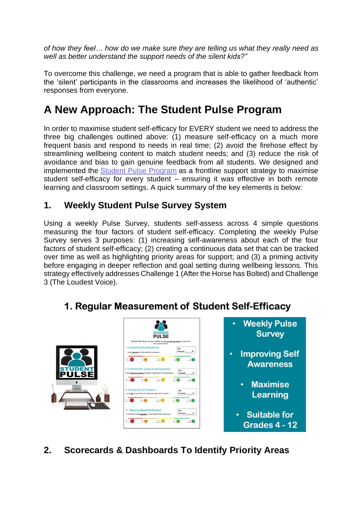*of how they feel… how do we make sure they are telling us what they really need as well as better understand the support needs of the silent kids?"*

To overcome this challenge, we need a program that is able to gather feedback from the 'silent' participants in the classrooms and increases the likelihood of 'authentic' responses from everyone.

# **A New Approach: The Student Pulse Program**

In order to maximise student self-efficacy for EVERY student we need to address the three big challenges outlined above: (1) measure self-efficacy on a much more frequent basis and respond to needs in real time; (2) avoid the firehose effect by streamlining wellbeing content to match student needs; and (3) reduce the risk of avoidance and bias to gain genuine feedback from all students. We designed and implemented the Student Pulse [Program](https://www.hptschools.com/studentpulse) as a frontline support strategy to maximise student self-efficacy for every student – ensuring it was effective in both remote learning and classroom settings. A quick summary of the key elements is below:

#### **1. Weekly Student Pulse Survey System**

Using a weekly Pulse Survey, students self-assess across 4 simple questions measuring the four factors of student self-efficacy. Completing the weekly Pulse Survey serves 3 purposes: (1) increasing self-awareness about each of the four factors of student self-efficacy; (2) creating a continuous data set that can be tracked over time as well as highlighting priority areas for support; and (3) a priming activity before engaging in deeper reflection and goal setting during wellbeing lessons. This strategy effectively addresses Challenge 1 (After the Horse has Bolted) and Challenge 3 (The Loudest Voice).



### 1. Regular Measurement of Student Self-Efficacy

**2. Scorecards & Dashboards To Identify Priority Areas**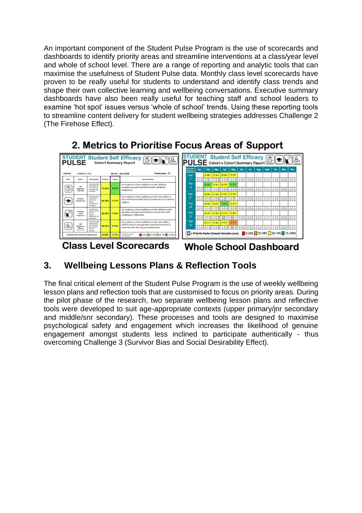An important component of the Student Pulse Program is the use of scorecards and dashboards to identify priority areas and streamline interventions at a class/year level and whole of school level. There are a range of reporting and analytic tools that can maximise the usefulness of Student Pulse data. Monthly class level scorecards have proven to be really useful for students to understand and identify class trends and shape their own collective learning and wellbeing conversations. Executive summary dashboards have also been really useful for teaching staff and school leaders to examine 'hot spot' issues versus 'whole of school' trends. Using these reporting tools to streamline content delivery for student wellbeing strategies addresses Challenge 2 (The Firehose Effect).



2. Metrics to Prioritise Focus Areas of Support

**Class Level Scorecards** 

**Whole School Dashboard** 

### **3. Wellbeing Lessons Plans & Reflection Tools**

The final critical element of the Student Pulse Program is the use of weekly wellbeing lesson plans and reflection tools that are customised to focus on priority areas. During the pilot phase of the research, two separate wellbeing lesson plans and reflective tools were developed to suit age-appropriate contexts (upper primary/jnr secondary and middle/snr secondary). These processes and tools are designed to maximise psychological safety and engagement which increases the likelihood of genuine engagement amongst students less inclined to participate authentically - thus overcoming Challenge 3 (Survivor Bias and Social Desirability Effect).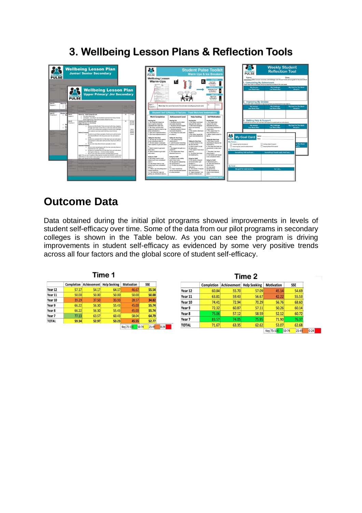# 3. Wellbeing Lesson Plans & Reflection Tools



# **Outcome Data**

Data obtained during the initial pilot programs showed improvements in levels of student self-efficacy over time. Some of the data from our pilot programs in secondary colleges is shown in the Table below. As you can see the program is driving improvements in student self-efficacy as evidenced by some very positive trends across all four factors and the global score of student self-efficacy.

|                   | <b>Completion</b> | <b>Achievement</b> | <b>Help Seeking</b> | <b>Motivation</b> | <b>SSE</b>         |          |
|-------------------|-------------------|--------------------|---------------------|-------------------|--------------------|----------|
| Year 12           | 57.17             | 54.17              | 64.17               | 46.67             | 55.54              |          |
| Year 11           | 50.00             | 50.00              | 50.00               | 50.00             | 50.00              |          |
| Year 10           | 39.29             | 37.50              | 33.93               | 28.57             | 34.82              |          |
| Year 9            | 66.22             | 56.30              | 55.43               | 45.00             | 55.74              |          |
| Year <sub>8</sub> | 66.22             | 56.30              | 55.43               | 45.00             | 55.74              |          |
| Year 7            | 77.13             | 63.57              | 60.43               | 58.04             | 64.79              |          |
| <b>TOTAL</b>      | 59.34             | 52.97              | 53.23               | 45.55             | 52.77              |          |
|                   |                   |                    |                     | Key 75-100        | $25 - 49$<br>50-74 | $0 - 24$ |

| <b>Help Seeking</b><br><b>Motivation</b><br>Achievement<br>Completion<br>57.09<br>Year 12<br>45.14<br>60.84<br>55.70<br>Year 11<br>56.67<br>42.22<br>63.81<br>59.43<br>74.41<br>72.94<br>70.29<br>56.76<br>Year 10<br>Year 9<br>72.32<br>60.87<br>57.11<br>50.26<br>75.06<br>Year 8<br>57.12<br>58.59<br>52.12<br>75.95<br>83.57<br>71.90<br>Year 7<br>74.05<br>62.62<br>71.67<br>63.35<br>53.07<br><b>TOTAL</b> |           |            |          |
|------------------------------------------------------------------------------------------------------------------------------------------------------------------------------------------------------------------------------------------------------------------------------------------------------------------------------------------------------------------------------------------------------------------|-----------|------------|----------|
|                                                                                                                                                                                                                                                                                                                                                                                                                  |           | <b>SSE</b> |          |
|                                                                                                                                                                                                                                                                                                                                                                                                                  | 54.69     |            |          |
|                                                                                                                                                                                                                                                                                                                                                                                                                  | 55.53     |            |          |
|                                                                                                                                                                                                                                                                                                                                                                                                                  | 68.60     |            |          |
|                                                                                                                                                                                                                                                                                                                                                                                                                  | 60.14     |            |          |
|                                                                                                                                                                                                                                                                                                                                                                                                                  | 60.72     |            |          |
|                                                                                                                                                                                                                                                                                                                                                                                                                  | 76.37     |            |          |
|                                                                                                                                                                                                                                                                                                                                                                                                                  | 62.68     |            |          |
| Key 75-100<br>50-74                                                                                                                                                                                                                                                                                                                                                                                              | $25 - 49$ |            | $0 - 24$ |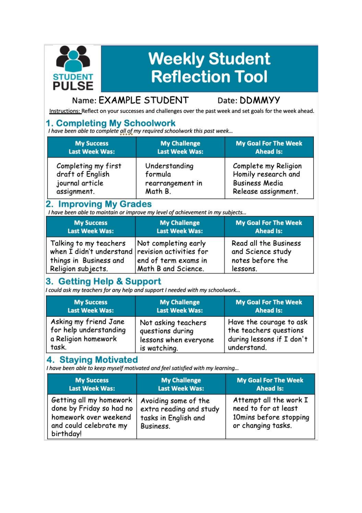# **Weekly Student Reflection Tool**

#### Name: EXAMPLE STUDENT

#### Date: DDMMYY

Instructions: Reflect on your successes and challenges over the past week and set goals for the week ahead.

**STUDENT**<br>PULSE

1. Completing My Schoolwork<br>I have been able to complete all of my required schoolwork this past week...

| <b>My Success</b>     | <b>My Challenge</b>   | <b>My Goal For The Week</b> |
|-----------------------|-----------------------|-----------------------------|
| <b>Last Week Was:</b> | <b>Last Week Was:</b> | <b>Ahead Is:</b>            |
| Completing my first   | Understanding         | Complete my Religion        |
| draft of English      | formula               | Homily research and         |
| journal article       | rearrangement in      | <b>Business Media</b>       |
| assignment.           | Math B.               | Release assignment.         |

### 2. Improving My Grades

I have been able to maintain or improve my level of achievement in my subjects...

| <b>My Success</b>                                                                                                          | <b>My Challenge</b>                                                 | <b>My Goal For The Week</b>                                                |
|----------------------------------------------------------------------------------------------------------------------------|---------------------------------------------------------------------|----------------------------------------------------------------------------|
| <b>Last Week Was:</b>                                                                                                      | <b>Last Week Was:</b>                                               | <b>Ahead Is:</b>                                                           |
| Talking to my teachers<br>when I didn't understand revision activities for<br>things in Business and<br>Religion subjects. | Not completing early<br>end of term exams in<br>Math B and Science. | Read all the Business<br>and Science study<br>notes before the<br>lessons. |

#### 3. Getting Help & Support

I could ask my teachers for any help and support I needed with my schoolwork...

| <b>My Success</b>      | <b>My Challenge</b>   | <b>My Goal For The Week</b> |
|------------------------|-----------------------|-----------------------------|
| <b>Last Week Was:</b>  | <b>Last Week Was:</b> | <b>Ahead Is:</b>            |
| Asking my friend Jane  | Not asking teachers   | Have the courage to ask     |
| for help understanding | questions during      | the teachers questions      |
| a Religion homework    | lessons when everyone | during lessons if I don't   |
| task.                  | is watching.          | understand.                 |

#### **4. Staying Motivated**

I have been able to keep myself motivated and feel satisfied with my learning...

| <b>My Success</b>                                                                                                   | <b>My Challenge</b>                                                                  | <b>My Goal For The Week</b>                                                                    |
|---------------------------------------------------------------------------------------------------------------------|--------------------------------------------------------------------------------------|------------------------------------------------------------------------------------------------|
| <b>Last Week Was:</b>                                                                                               | <b>Last Week Was:</b>                                                                | <b>Ahead Is:</b>                                                                               |
| Getting all my homework<br>done by Friday so had no<br>homework over weekend<br>and could celebrate my<br>birthday! | Avoiding some of the<br>extra reading and study<br>tasks in English and<br>Business. | Attempt all the work I<br>need to for at least<br>10mins before stopping<br>or changing tasks. |